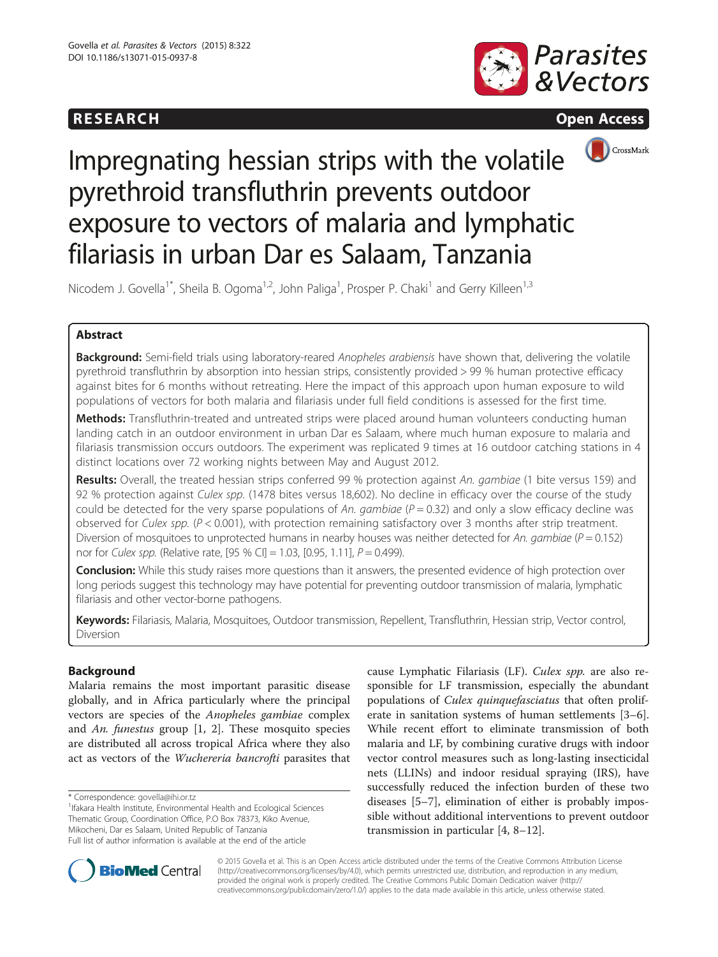# **RESEARCH CHINESEARCH CHINESEARCH CHINESE**







# Impregnating hessian strips with the volatile pyrethroid transfluthrin prevents outdoor exposure to vectors of malaria and lymphatic filariasis in urban Dar es Salaam, Tanzania

Nicodem J. Govella<sup>1\*</sup>, Sheila B. Ogoma<sup>1,2</sup>, John Paliga<sup>1</sup>, Prosper P. Chaki<sup>1</sup> and Gerry Killeen<sup>1,3</sup>

# Abstract

Background: Semi-field trials using laboratory-reared Anopheles arabiensis have shown that, delivering the volatile pyrethroid transfluthrin by absorption into hessian strips, consistently provided > 99 % human protective efficacy against bites for 6 months without retreating. Here the impact of this approach upon human exposure to wild populations of vectors for both malaria and filariasis under full field conditions is assessed for the first time.

Methods: Transfluthrin-treated and untreated strips were placed around human volunteers conducting human landing catch in an outdoor environment in urban Dar es Salaam, where much human exposure to malaria and filariasis transmission occurs outdoors. The experiment was replicated 9 times at 16 outdoor catching stations in 4 distinct locations over 72 working nights between May and August 2012.

Results: Overall, the treated hessian strips conferred 99 % protection against An. gambiae (1 bite versus 159) and 92 % protection against Culex spp. (1478 bites versus 18,602). No decline in efficacy over the course of the study could be detected for the very sparse populations of An. gambiae ( $P = 0.32$ ) and only a slow efficacy decline was observed for Culex spp. ( $P < 0.001$ ), with protection remaining satisfactory over 3 months after strip treatment. Diversion of mosquitoes to unprotected humans in nearby houses was neither detected for An. gambiae ( $P = 0.152$ ) nor for Culex spp. (Relative rate, [95 % CI] = 1.03, [0.95, 1.11], P = 0.499).

Conclusion: While this study raises more questions than it answers, the presented evidence of high protection over long periods suggest this technology may have potential for preventing outdoor transmission of malaria, lymphatic filariasis and other vector-borne pathogens.

Keywords: Filariasis, Malaria, Mosquitoes, Outdoor transmission, Repellent, Transfluthrin, Hessian strip, Vector control, Diversion

# Background

Malaria remains the most important parasitic disease globally, and in Africa particularly where the principal vectors are species of the Anopheles gambiae complex and An. funestus group  $[1, 2]$  $[1, 2]$  $[1, 2]$ . These mosquito species are distributed all across tropical Africa where they also act as vectors of the Wuchereria bancrofti parasites that

\* Correspondence: [govella@ihi.or.tz](mailto:govella@ihi.or.tz) <sup>1</sup>

<sup>1</sup> Ifakara Health Institute, Environmental Health and Ecological Sciences Thematic Group, Coordination Office, P.O Box 78373, Kiko Avenue, Mikocheni, Dar es Salaam, United Republic of Tanzania Full list of author information is available at the end of the article

cause Lymphatic Filariasis (LF). Culex spp. are also responsible for LF transmission, especially the abundant populations of Culex quinquefasciatus that often proliferate in sanitation systems of human settlements [\[3](#page-6-0)–[6](#page-6-0)]. While recent effort to eliminate transmission of both malaria and LF, by combining curative drugs with indoor vector control measures such as long-lasting insecticidal nets (LLINs) and indoor residual spraying (IRS), have successfully reduced the infection burden of these two diseases [\[5](#page-6-0)–[7](#page-6-0)], elimination of either is probably impossible without additional interventions to prevent outdoor transmission in particular [[4, 8](#page-6-0)–[12\]](#page-6-0).



© 2015 Govella et al. This is an Open Access article distributed under the terms of the Creative Commons Attribution License [\(http://creativecommons.org/licenses/by/4.0\)](http://creativecommons.org/licenses/by/4.0), which permits unrestricted use, distribution, and reproduction in any medium, provided the original work is properly credited. The Creative Commons Public Domain Dedication waiver [\(http://](http://creativecommons.org/publicdomain/zero/1.0/) [creativecommons.org/publicdomain/zero/1.0/\)](http://creativecommons.org/publicdomain/zero/1.0/) applies to the data made available in this article, unless otherwise stated.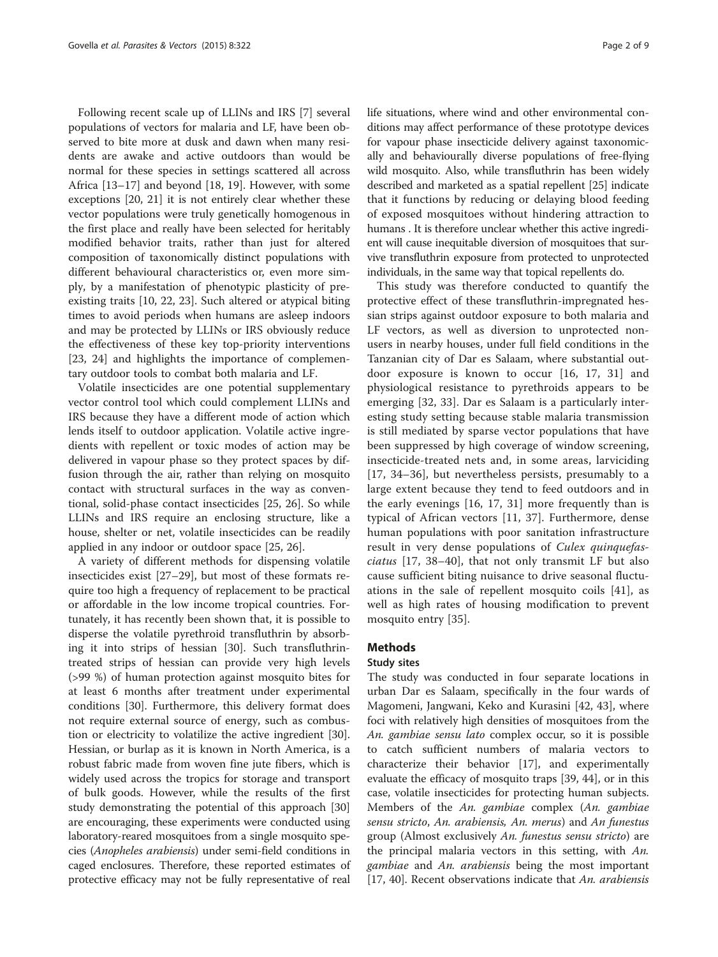Following recent scale up of LLINs and IRS [[7](#page-6-0)] several populations of vectors for malaria and LF, have been observed to bite more at dusk and dawn when many residents are awake and active outdoors than would be normal for these species in settings scattered all across Africa [[13](#page-6-0)–[17](#page-7-0)] and beyond [[18, 19\]](#page-7-0). However, with some exceptions [[20](#page-7-0), [21](#page-7-0)] it is not entirely clear whether these vector populations were truly genetically homogenous in the first place and really have been selected for heritably modified behavior traits, rather than just for altered composition of taxonomically distinct populations with different behavioural characteristics or, even more simply, by a manifestation of phenotypic plasticity of preexisting traits [\[10](#page-6-0), [22](#page-7-0), [23](#page-7-0)]. Such altered or atypical biting times to avoid periods when humans are asleep indoors and may be protected by LLINs or IRS obviously reduce the effectiveness of these key top-priority interventions [[23, 24](#page-7-0)] and highlights the importance of complementary outdoor tools to combat both malaria and LF.

Volatile insecticides are one potential supplementary vector control tool which could complement LLINs and IRS because they have a different mode of action which lends itself to outdoor application. Volatile active ingredients with repellent or toxic modes of action may be delivered in vapour phase so they protect spaces by diffusion through the air, rather than relying on mosquito contact with structural surfaces in the way as conventional, solid-phase contact insecticides [[25](#page-7-0), [26\]](#page-7-0). So while LLINs and IRS require an enclosing structure, like a house, shelter or net, volatile insecticides can be readily applied in any indoor or outdoor space [[25, 26\]](#page-7-0).

A variety of different methods for dispensing volatile insecticides exist [\[27](#page-7-0)–[29\]](#page-7-0), but most of these formats require too high a frequency of replacement to be practical or affordable in the low income tropical countries. Fortunately, it has recently been shown that, it is possible to disperse the volatile pyrethroid transfluthrin by absorbing it into strips of hessian [[30\]](#page-7-0). Such transfluthrintreated strips of hessian can provide very high levels (>99 %) of human protection against mosquito bites for at least 6 months after treatment under experimental conditions [[30\]](#page-7-0). Furthermore, this delivery format does not require external source of energy, such as combustion or electricity to volatilize the active ingredient [\[30](#page-7-0)]. Hessian, or burlap as it is known in North America, is a robust fabric made from woven fine jute fibers, which is widely used across the tropics for storage and transport of bulk goods. However, while the results of the first study demonstrating the potential of this approach [[30](#page-7-0)] are encouraging, these experiments were conducted using laboratory-reared mosquitoes from a single mosquito species (Anopheles arabiensis) under semi-field conditions in caged enclosures. Therefore, these reported estimates of protective efficacy may not be fully representative of real life situations, where wind and other environmental conditions may affect performance of these prototype devices for vapour phase insecticide delivery against taxonomically and behaviourally diverse populations of free-flying wild mosquito. Also, while transfluthrin has been widely described and marketed as a spatial repellent [\[25](#page-7-0)] indicate that it functions by reducing or delaying blood feeding of exposed mosquitoes without hindering attraction to humans . It is therefore unclear whether this active ingredient will cause inequitable diversion of mosquitoes that survive transfluthrin exposure from protected to unprotected individuals, in the same way that topical repellents do.

This study was therefore conducted to quantify the protective effect of these transfluthrin-impregnated hessian strips against outdoor exposure to both malaria and LF vectors, as well as diversion to unprotected nonusers in nearby houses, under full field conditions in the Tanzanian city of Dar es Salaam, where substantial outdoor exposure is known to occur [[16, 17, 31](#page-7-0)] and physiological resistance to pyrethroids appears to be emerging [[32, 33](#page-7-0)]. Dar es Salaam is a particularly interesting study setting because stable malaria transmission is still mediated by sparse vector populations that have been suppressed by high coverage of window screening, insecticide-treated nets and, in some areas, larviciding [[17, 34](#page-7-0)–[36](#page-7-0)], but nevertheless persists, presumably to a large extent because they tend to feed outdoors and in the early evenings [[16, 17, 31\]](#page-7-0) more frequently than is typical of African vectors [[11](#page-6-0), [37](#page-7-0)]. Furthermore, dense human populations with poor sanitation infrastructure result in very dense populations of Culex quinquefasciatus [[17, 38](#page-7-0)–[40](#page-7-0)], that not only transmit LF but also cause sufficient biting nuisance to drive seasonal fluctuations in the sale of repellent mosquito coils [[41\]](#page-7-0), as well as high rates of housing modification to prevent mosquito entry [[35\]](#page-7-0).

# **Methods**

### Study sites

The study was conducted in four separate locations in urban Dar es Salaam, specifically in the four wards of Magomeni, Jangwani, Keko and Kurasini [\[42, 43](#page-7-0)], where foci with relatively high densities of mosquitoes from the An. gambiae sensu lato complex occur, so it is possible to catch sufficient numbers of malaria vectors to characterize their behavior [\[17](#page-7-0)], and experimentally evaluate the efficacy of mosquito traps [\[39](#page-7-0), [44\]](#page-7-0), or in this case, volatile insecticides for protecting human subjects. Members of the An. gambiae complex (An. gambiae sensu stricto, An. arabiensis, An. merus) and An funestus group (Almost exclusively An. funestus sensu stricto) are the principal malaria vectors in this setting, with An. gambiae and An. arabiensis being the most important [[17, 40\]](#page-7-0). Recent observations indicate that An. arabiensis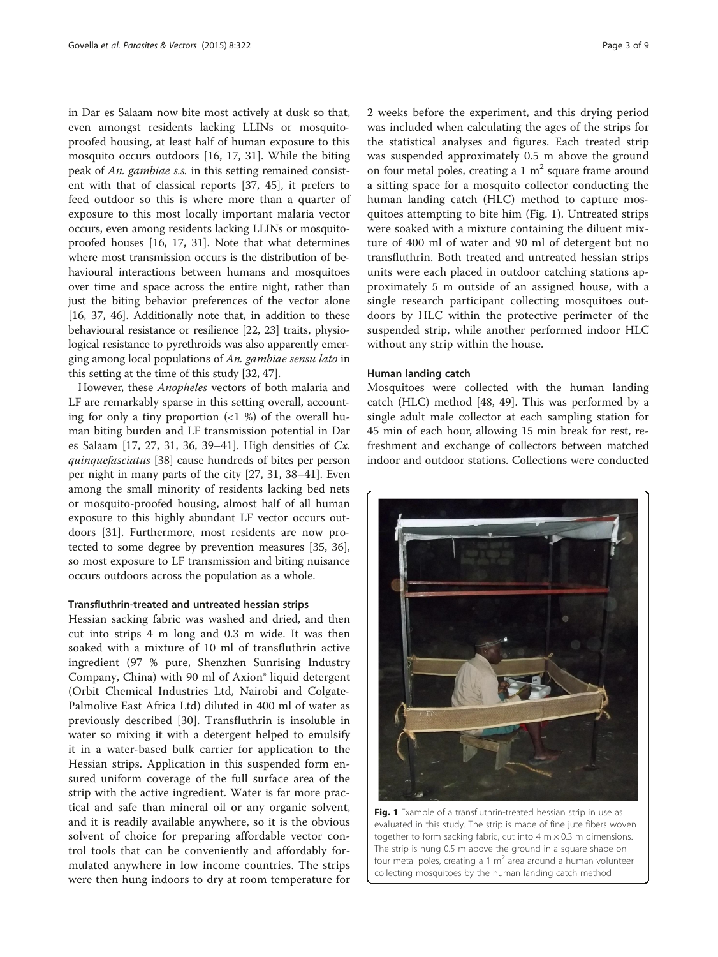in Dar es Salaam now bite most actively at dusk so that, even amongst residents lacking LLINs or mosquitoproofed housing, at least half of human exposure to this mosquito occurs outdoors [\[16](#page-7-0), [17, 31](#page-7-0)]. While the biting peak of An. gambiae s.s. in this setting remained consistent with that of classical reports [[37](#page-7-0), [45\]](#page-7-0), it prefers to feed outdoor so this is where more than a quarter of exposure to this most locally important malaria vector occurs, even among residents lacking LLINs or mosquitoproofed houses [[16](#page-7-0), [17](#page-7-0), [31\]](#page-7-0). Note that what determines where most transmission occurs is the distribution of behavioural interactions between humans and mosquitoes over time and space across the entire night, rather than just the biting behavior preferences of the vector alone [[16](#page-7-0), [37](#page-7-0), [46](#page-7-0)]. Additionally note that, in addition to these behavioural resistance or resilience [\[22, 23\]](#page-7-0) traits, physiological resistance to pyrethroids was also apparently emerging among local populations of An. gambiae sensu lato in this setting at the time of this study [[32](#page-7-0), [47\]](#page-7-0).

However, these Anopheles vectors of both malaria and LF are remarkably sparse in this setting overall, accounting for only a tiny proportion  $\left($  < 1 %) of the overall human biting burden and LF transmission potential in Dar es Salaam [[17](#page-7-0), [27](#page-7-0), [31, 36, 39](#page-7-0)–[41](#page-7-0)]. High densities of Cx. quinquefasciatus [[38\]](#page-7-0) cause hundreds of bites per person per night in many parts of the city [\[27](#page-7-0), [31](#page-7-0), [38](#page-7-0)–[41](#page-7-0)]. Even among the small minority of residents lacking bed nets or mosquito-proofed housing, almost half of all human exposure to this highly abundant LF vector occurs outdoors [[31](#page-7-0)]. Furthermore, most residents are now protected to some degree by prevention measures [[35](#page-7-0), [36](#page-7-0)], so most exposure to LF transmission and biting nuisance occurs outdoors across the population as a whole.

#### Transfluthrin-treated and untreated hessian strips

Hessian sacking fabric was washed and dried, and then cut into strips 4 m long and 0.3 m wide. It was then soaked with a mixture of 10 ml of transfluthrin active ingredient (97 % pure, Shenzhen Sunrising Industry Company, China) with 90 ml of Axion® liquid detergent (Orbit Chemical Industries Ltd, Nairobi and Colgate-Palmolive East Africa Ltd) diluted in 400 ml of water as previously described [\[30](#page-7-0)]. Transfluthrin is insoluble in water so mixing it with a detergent helped to emulsify it in a water-based bulk carrier for application to the Hessian strips. Application in this suspended form ensured uniform coverage of the full surface area of the strip with the active ingredient. Water is far more practical and safe than mineral oil or any organic solvent, and it is readily available anywhere, so it is the obvious solvent of choice for preparing affordable vector control tools that can be conveniently and affordably formulated anywhere in low income countries. The strips were then hung indoors to dry at room temperature for

2 weeks before the experiment, and this drying period was included when calculating the ages of the strips for the statistical analyses and figures. Each treated strip was suspended approximately 0.5 m above the ground on four metal poles, creating a 1  $m<sup>2</sup>$  square frame around a sitting space for a mosquito collector conducting the human landing catch (HLC) method to capture mosquitoes attempting to bite him (Fig. 1). Untreated strips were soaked with a mixture containing the diluent mixture of 400 ml of water and 90 ml of detergent but no transfluthrin. Both treated and untreated hessian strips units were each placed in outdoor catching stations approximately 5 m outside of an assigned house, with a single research participant collecting mosquitoes outdoors by HLC within the protective perimeter of the suspended strip, while another performed indoor HLC without any strip within the house.

## Human landing catch

Mosquitoes were collected with the human landing catch (HLC) method [[48](#page-7-0), [49](#page-7-0)]. This was performed by a single adult male collector at each sampling station for 45 min of each hour, allowing 15 min break for rest, refreshment and exchange of collectors between matched indoor and outdoor stations. Collections were conducted



Fig. 1 Example of a transfluthrin-treated hessian strip in use as evaluated in this study. The strip is made of fine jute fibers woven together to form sacking fabric, cut into  $4 \text{ m} \times 0.3 \text{ m}$  dimensions. The strip is hung 0.5 m above the ground in a square shape on four metal poles, creating a 1  $m<sup>2</sup>$  area around a human volunteer collecting mosquitoes by the human landing catch method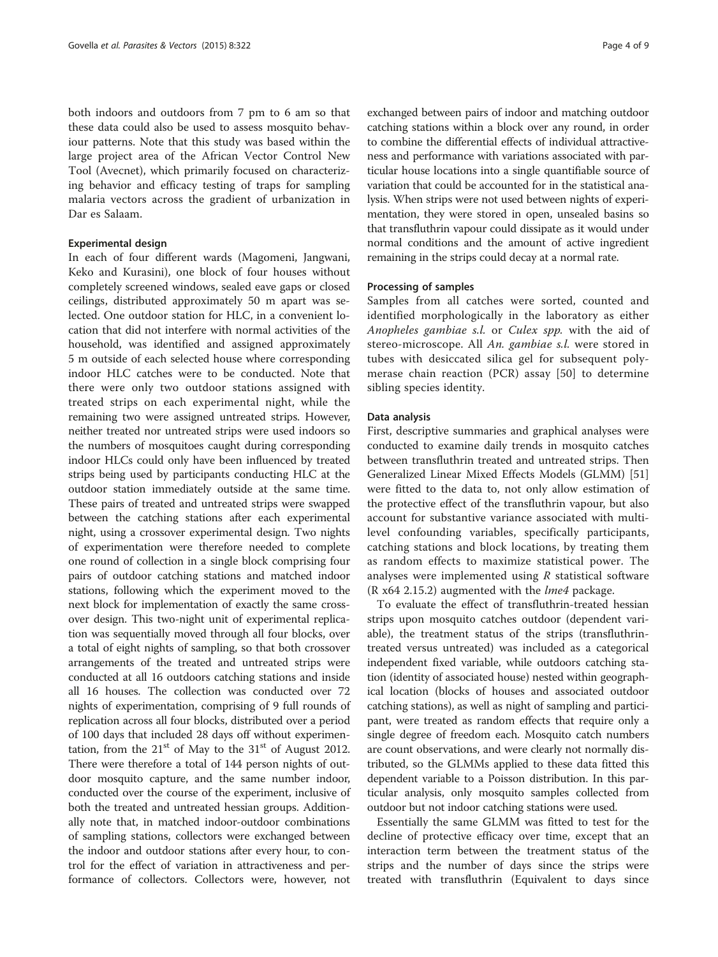both indoors and outdoors from 7 pm to 6 am so that these data could also be used to assess mosquito behaviour patterns. Note that this study was based within the large project area of the African Vector Control New Tool (Avecnet), which primarily focused on characterizing behavior and efficacy testing of traps for sampling malaria vectors across the gradient of urbanization in Dar es Salaam.

# Experimental design

In each of four different wards (Magomeni, Jangwani, Keko and Kurasini), one block of four houses without completely screened windows, sealed eave gaps or closed ceilings, distributed approximately 50 m apart was selected. One outdoor station for HLC, in a convenient location that did not interfere with normal activities of the household, was identified and assigned approximately 5 m outside of each selected house where corresponding indoor HLC catches were to be conducted. Note that there were only two outdoor stations assigned with treated strips on each experimental night, while the remaining two were assigned untreated strips. However, neither treated nor untreated strips were used indoors so the numbers of mosquitoes caught during corresponding indoor HLCs could only have been influenced by treated strips being used by participants conducting HLC at the outdoor station immediately outside at the same time. These pairs of treated and untreated strips were swapped between the catching stations after each experimental night, using a crossover experimental design. Two nights of experimentation were therefore needed to complete one round of collection in a single block comprising four pairs of outdoor catching stations and matched indoor stations, following which the experiment moved to the next block for implementation of exactly the same crossover design. This two-night unit of experimental replication was sequentially moved through all four blocks, over a total of eight nights of sampling, so that both crossover arrangements of the treated and untreated strips were conducted at all 16 outdoors catching stations and inside all 16 houses. The collection was conducted over 72 nights of experimentation, comprising of 9 full rounds of replication across all four blocks, distributed over a period of 100 days that included 28 days off without experimentation, from the  $21^{st}$  of May to the  $31^{st}$  of August 2012. There were therefore a total of 144 person nights of outdoor mosquito capture, and the same number indoor, conducted over the course of the experiment, inclusive of both the treated and untreated hessian groups. Additionally note that, in matched indoor-outdoor combinations of sampling stations, collectors were exchanged between the indoor and outdoor stations after every hour, to control for the effect of variation in attractiveness and performance of collectors. Collectors were, however, not

exchanged between pairs of indoor and matching outdoor catching stations within a block over any round, in order to combine the differential effects of individual attractiveness and performance with variations associated with particular house locations into a single quantifiable source of variation that could be accounted for in the statistical analysis. When strips were not used between nights of experimentation, they were stored in open, unsealed basins so that transfluthrin vapour could dissipate as it would under normal conditions and the amount of active ingredient remaining in the strips could decay at a normal rate.

## Processing of samples

Samples from all catches were sorted, counted and identified morphologically in the laboratory as either Anopheles gambiae s.l. or Culex spp. with the aid of stereo-microscope. All An. gambiae s.l. were stored in tubes with desiccated silica gel for subsequent polymerase chain reaction (PCR) assay [[50\]](#page-7-0) to determine sibling species identity.

#### Data analysis

First, descriptive summaries and graphical analyses were conducted to examine daily trends in mosquito catches between transfluthrin treated and untreated strips. Then Generalized Linear Mixed Effects Models (GLMM) [[51](#page-7-0)] were fitted to the data to, not only allow estimation of the protective effect of the transfluthrin vapour, but also account for substantive variance associated with multilevel confounding variables, specifically participants, catching stations and block locations, by treating them as random effects to maximize statistical power. The analyses were implemented using  *statistical software* (R  $x64$  2.15.2) augmented with the *lme4* package.

To evaluate the effect of transfluthrin-treated hessian strips upon mosquito catches outdoor (dependent variable), the treatment status of the strips (transfluthrintreated versus untreated) was included as a categorical independent fixed variable, while outdoors catching station (identity of associated house) nested within geographical location (blocks of houses and associated outdoor catching stations), as well as night of sampling and participant, were treated as random effects that require only a single degree of freedom each. Mosquito catch numbers are count observations, and were clearly not normally distributed, so the GLMMs applied to these data fitted this dependent variable to a Poisson distribution. In this particular analysis, only mosquito samples collected from outdoor but not indoor catching stations were used.

Essentially the same GLMM was fitted to test for the decline of protective efficacy over time, except that an interaction term between the treatment status of the strips and the number of days since the strips were treated with transfluthrin (Equivalent to days since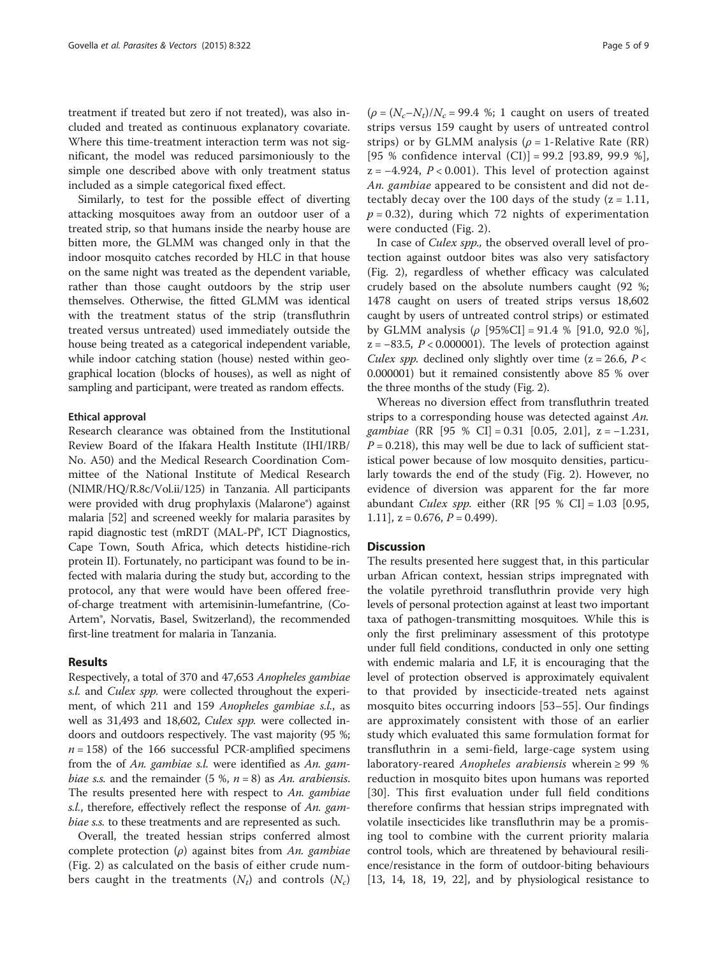treatment if treated but zero if not treated), was also included and treated as continuous explanatory covariate. Where this time-treatment interaction term was not significant, the model was reduced parsimoniously to the simple one described above with only treatment status included as a simple categorical fixed effect.

Similarly, to test for the possible effect of diverting attacking mosquitoes away from an outdoor user of a treated strip, so that humans inside the nearby house are bitten more, the GLMM was changed only in that the indoor mosquito catches recorded by HLC in that house on the same night was treated as the dependent variable, rather than those caught outdoors by the strip user themselves. Otherwise, the fitted GLMM was identical with the treatment status of the strip (transfluthrin treated versus untreated) used immediately outside the house being treated as a categorical independent variable, while indoor catching station (house) nested within geographical location (blocks of houses), as well as night of sampling and participant, were treated as random effects.

### Ethical approval

Research clearance was obtained from the Institutional Review Board of the Ifakara Health Institute (IHI/IRB/ No. A50) and the Medical Research Coordination Committee of the National Institute of Medical Research (NIMR/HQ/R.8c/Vol.ii/125) in Tanzania. All participants were provided with drug prophylaxis (Malarone®) against malaria [[52](#page-7-0)] and screened weekly for malaria parasites by rapid diagnostic test (mRDT (MAL-Pf®, ICT Diagnostics, Cape Town, South Africa, which detects histidine-rich protein II). Fortunately, no participant was found to be infected with malaria during the study but, according to the protocol, any that were would have been offered freeof-charge treatment with artemisinin-lumefantrine, (Co-Artem®, Norvatis, Basel, Switzerland), the recommended first-line treatment for malaria in Tanzania.

# Results

Respectively, a total of 370 and 47,653 Anopheles gambiae s.l. and Culex spp. were collected throughout the experiment, of which 211 and 159 Anopheles gambiae s.l., as well as 31,493 and 18,602, *Culex spp*. were collected indoors and outdoors respectively. The vast majority (95 %;  $n = 158$ ) of the 166 successful PCR-amplified specimens from the of An. gambiae s.l. were identified as An. gam*biae s.s.* and the remainder  $(5 \%, n = 8)$  as An. arabiensis. The results presented here with respect to An. gambiae s.l., therefore, effectively reflect the response of An. gambiae s.s. to these treatments and are represented as such.

Overall, the treated hessian strips conferred almost complete protection  $(\rho)$  against bites from An. gambiae (Fig. [2](#page-5-0)) as calculated on the basis of either crude numbers caught in the treatments  $(N_t)$  and controls  $(N_c)$ 

 $(\rho = (N_c - N_t)/N_c = 99.4$  %; 1 caught on users of treated strips versus 159 caught by users of untreated control strips) or by GLMM analysis ( $\rho = 1$ -Relative Rate (RR) [95 % confidence interval (CI)] = 99.2 [93.89, 99.9 %],  $z = -4.924$ ,  $P < 0.001$ ). This level of protection against An. gambiae appeared to be consistent and did not detectably decay over the 100 days of the study  $(z = 1.11,$  $p = 0.32$ ), during which 72 nights of experimentation were conducted (Fig. [2\)](#page-5-0).

In case of Culex spp., the observed overall level of protection against outdoor bites was also very satisfactory (Fig. [2\)](#page-5-0), regardless of whether efficacy was calculated crudely based on the absolute numbers caught (92 %; 1478 caught on users of treated strips versus 18,602 caught by users of untreated control strips) or estimated by GLMM analysis ( $\rho$  [95%CI] = 91.4 % [91.0, 92.0 %], z = <sup>−</sup>83.5, P < 0.000001). The levels of protection against Culex spp. declined only slightly over time  $(z = 26.6, P <$ 0.000001) but it remained consistently above 85 % over the three months of the study (Fig. [2\)](#page-5-0).

Whereas no diversion effect from transfluthrin treated strips to a corresponding house was detected against An. gambiae (RR [95 % CI] = 0.31 [0.05, 2.01],  $z = -1.231$ ,  $P = 0.218$ , this may well be due to lack of sufficient statistical power because of low mosquito densities, particularly towards the end of the study (Fig. [2](#page-5-0)). However, no evidence of diversion was apparent for the far more abundant Culex spp. either (RR [95 % CI] = 1.03 [0.95, 1.11],  $z = 0.676$ ,  $P = 0.499$ ).

# **Discussion**

The results presented here suggest that, in this particular urban African context, hessian strips impregnated with the volatile pyrethroid transfluthrin provide very high levels of personal protection against at least two important taxa of pathogen-transmitting mosquitoes. While this is only the first preliminary assessment of this prototype under full field conditions, conducted in only one setting with endemic malaria and LF, it is encouraging that the level of protection observed is approximately equivalent to that provided by insecticide-treated nets against mosquito bites occurring indoors [[53](#page-7-0)–[55\]](#page-7-0). Our findings are approximately consistent with those of an earlier study which evaluated this same formulation format for transfluthrin in a semi-field, large-cage system using laboratory-reared Anopheles arabiensis wherein  $\geq 99$  % reduction in mosquito bites upon humans was reported [[30\]](#page-7-0). This first evaluation under full field conditions therefore confirms that hessian strips impregnated with volatile insecticides like transfluthrin may be a promising tool to combine with the current priority malaria control tools, which are threatened by behavioural resilience/resistance in the form of outdoor-biting behaviours [[13](#page-6-0), [14](#page-6-0), [18](#page-7-0), [19, 22\]](#page-7-0), and by physiological resistance to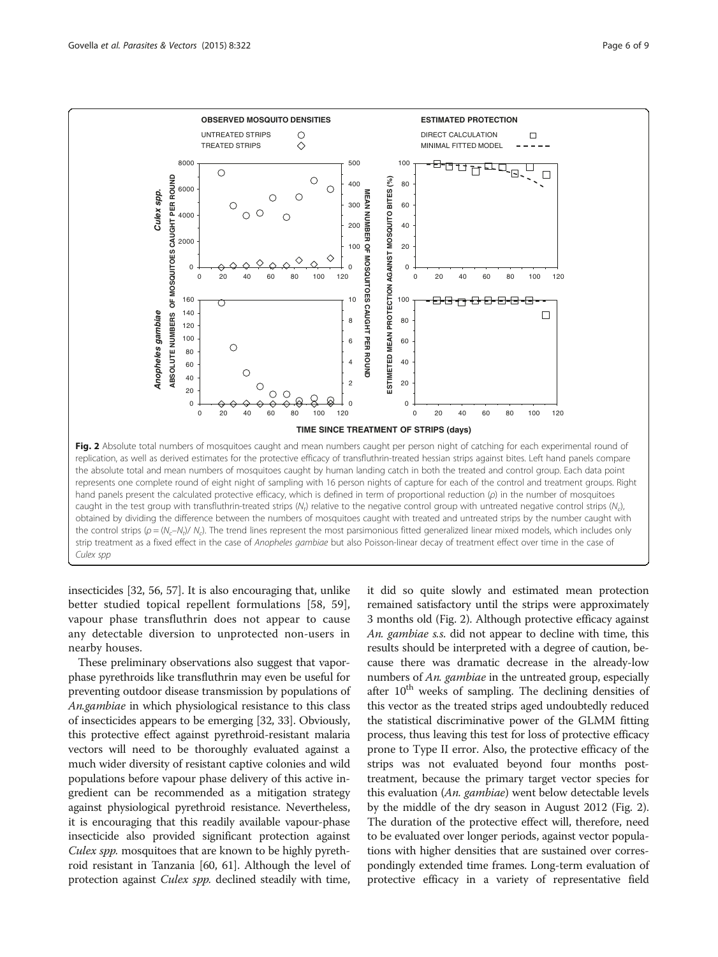<span id="page-5-0"></span>

insecticides [\[32](#page-7-0), [56, 57\]](#page-7-0). It is also encouraging that, unlike better studied topical repellent formulations [[58,](#page-7-0) [59](#page-8-0)], vapour phase transfluthrin does not appear to cause any detectable diversion to unprotected non-users in nearby houses.

These preliminary observations also suggest that vaporphase pyrethroids like transfluthrin may even be useful for preventing outdoor disease transmission by populations of An.gambiae in which physiological resistance to this class of insecticides appears to be emerging [[32, 33](#page-7-0)]. Obviously, this protective effect against pyrethroid-resistant malaria vectors will need to be thoroughly evaluated against a much wider diversity of resistant captive colonies and wild populations before vapour phase delivery of this active ingredient can be recommended as a mitigation strategy against physiological pyrethroid resistance. Nevertheless, it is encouraging that this readily available vapour-phase insecticide also provided significant protection against Culex spp. mosquitoes that are known to be highly pyrethroid resistant in Tanzania [[60](#page-8-0), [61\]](#page-8-0). Although the level of protection against Culex spp. declined steadily with time,

it did so quite slowly and estimated mean protection remained satisfactory until the strips were approximately 3 months old (Fig. 2). Although protective efficacy against An. gambiae s.s. did not appear to decline with time, this results should be interpreted with a degree of caution, because there was dramatic decrease in the already-low numbers of An. gambiae in the untreated group, especially after 10<sup>th</sup> weeks of sampling. The declining densities of this vector as the treated strips aged undoubtedly reduced the statistical discriminative power of the GLMM fitting process, thus leaving this test for loss of protective efficacy prone to Type II error. Also, the protective efficacy of the strips was not evaluated beyond four months posttreatment, because the primary target vector species for this evaluation (An. gambiae) went below detectable levels by the middle of the dry season in August 2012 (Fig. 2). The duration of the protective effect will, therefore, need to be evaluated over longer periods, against vector populations with higher densities that are sustained over correspondingly extended time frames. Long-term evaluation of protective efficacy in a variety of representative field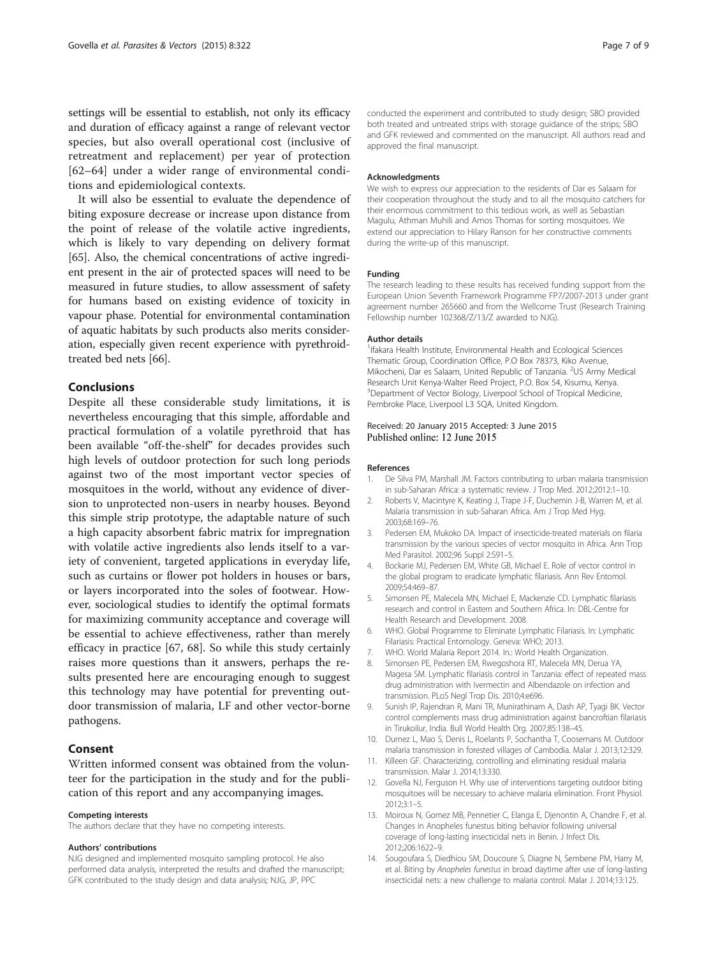<span id="page-6-0"></span>settings will be essential to establish, not only its efficacy and duration of efficacy against a range of relevant vector species, but also overall operational cost (inclusive of retreatment and replacement) per year of protection [[62](#page-8-0)–[64\]](#page-8-0) under a wider range of environmental conditions and epidemiological contexts.

It will also be essential to evaluate the dependence of biting exposure decrease or increase upon distance from the point of release of the volatile active ingredients, which is likely to vary depending on delivery format [[65](#page-8-0)]. Also, the chemical concentrations of active ingredient present in the air of protected spaces will need to be measured in future studies, to allow assessment of safety for humans based on existing evidence of toxicity in vapour phase. Potential for environmental contamination of aquatic habitats by such products also merits consideration, especially given recent experience with pyrethroidtreated bed nets [\[66](#page-8-0)].

# Conclusions

Despite all these considerable study limitations, it is nevertheless encouraging that this simple, affordable and practical formulation of a volatile pyrethroid that has been available "off-the-shelf" for decades provides such high levels of outdoor protection for such long periods against two of the most important vector species of mosquitoes in the world, without any evidence of diversion to unprotected non-users in nearby houses. Beyond this simple strip prototype, the adaptable nature of such a high capacity absorbent fabric matrix for impregnation with volatile active ingredients also lends itself to a variety of convenient, targeted applications in everyday life, such as curtains or flower pot holders in houses or bars, or layers incorporated into the soles of footwear. However, sociological studies to identify the optimal formats for maximizing community acceptance and coverage will be essential to achieve effectiveness, rather than merely efficacy in practice [\[67, 68](#page-8-0)]. So while this study certainly raises more questions than it answers, perhaps the results presented here are encouraging enough to suggest this technology may have potential for preventing outdoor transmission of malaria, LF and other vector-borne pathogens.

# Consent

Written informed consent was obtained from the volunteer for the participation in the study and for the publication of this report and any accompanying images.

#### Competing interests

The authors declare that they have no competing interests.

#### Authors' contributions

NJG designed and implemented mosquito sampling protocol. He also performed data analysis, interpreted the results and drafted the manuscript; GFK contributed to the study design and data analysis; NJG, JP, PPC

conducted the experiment and contributed to study design; SBO provided both treated and untreated strips with storage guidance of the strips; SBO and GFK reviewed and commented on the manuscript. All authors read and approved the final manuscript.

#### Acknowledgments

We wish to express our appreciation to the residents of Dar es Salaam for their cooperation throughout the study and to all the mosquito catchers for their enormous commitment to this tedious work, as well as Sebastian Magulu, Athman Muhili and Amos Thomas for sorting mosquitoes. We extend our appreciation to Hilary Ranson for her constructive comments during the write-up of this manuscript.

#### Funding

The research leading to these results has received funding support from the European Union Seventh Framework Programme FP7/2007-2013 under grant agreement number 265660 and from the Wellcome Trust (Research Training Fellowship number 102368/Z/13/Z awarded to NJG).

#### Author details

<sup>1</sup> Ifakara Health Institute, Environmental Health and Ecological Sciences Thematic Group, Coordination Office, P.O Box 78373, Kiko Avenue, Mikocheni, Dar es Salaam, United Republic of Tanzania. <sup>2</sup>US Army Medical Research Unit Kenya-Walter Reed Project, P.O. Box 54, Kisumu, Kenya. <sup>3</sup> Department of Vector Biology, Liverpool School of Tropical Medicine, Pembroke Place, Liverpool L3 5QA, United Kingdom.

# Received: 20 January 2015 Accepted: 3 June 2015<br>Published online: 12 June 2015

#### References

- 1. De Silva PM, Marshall JM. Factors contributing to urban malaria transmission in sub-Saharan Africa: a systematic review. J Trop Med. 2012;2012:1–10.
- 2. Roberts V, Macintyre K, Keating J, Trape J-F, Duchemin J-B, Warren M, et al. Malaria transmission in sub-Saharan Africa. Am J Trop Med Hyg. 2003;68:169–76.
- 3. Pedersen EM, Mukoko DA. Impact of insecticide-treated materials on filaria transmission by the various species of vector mosquito in Africa. Ann Trop Med Parasitol. 2002;96 Suppl 2:S91–5.
- 4. Bockarie MJ, Pedersen EM, White GB, Michael E. Role of vector control in the global program to eradicate lymphatic filariasis. Ann Rev Entomol. 2009;54:469–87.
- 5. Simonsen PE, Malecela MN, Michael E, Mackenzie CD. Lymphatic filariasis research and control in Eastern and Southern Africa. In: DBL-Centre for Health Research and Development. 2008.
- 6. WHO. Global Programme to Eliminate Lymphatic Filariasis. In: Lymphatic Filariasis: Practical Entomology. Geneva: WHO; 2013.
- 7. WHO. World Malaria Report 2014. In.: World Health Organization.
- Simonsen PE, Pedersen EM, Rwegoshora RT, Malecela MN, Derua YA, Magesa SM. Lymphatic filariasis control in Tanzania: effect of repeated mass drug administration with Ivermectin and Albendazole on infection and transmission. PLoS Negl Trop Dis. 2010;4:e696.
- 9. Sunish IP, Rajendran R, Mani TR, Munirathinam A, Dash AP, Tyagi BK. Vector control complements mass drug administration against bancroftian filariasis in Tirukoilur, India. Bull World Health Org. 2007;85:138–45.
- 10. Durnez L, Mao S, Denis L, Roelants P, Sochantha T, Coosemans M. Outdoor malaria transmission in forested villages of Cambodia. Malar J. 2013;12:329.
- 11. Killeen GF. Characterizing, controlling and eliminating residual malaria transmission. Malar J. 2014;13:330.
- 12. Govella NJ, Ferguson H. Why use of interventions targeting outdoor biting mosquitoes will be necessary to achieve malaria elimination. Front Physiol. 2012;3:1–5.
- 13. Moiroux N, Gomez MB, Pennetier C, Elanga E, Djenontin A, Chandre F, et al. Changes in Anopheles funestus biting behavior following universal coverage of long-lasting insecticidal nets in Benin. J Infect Dis. 2012;206:1622–9.
- 14. Sougoufara S, Diedhiou SM, Doucoure S, Diagne N, Sembene PM, Harry M, et al. Biting by Anopheles funestus in broad daytime after use of long-lasting insecticidal nets: a new challenge to malaria control. Malar J. 2014;13:125.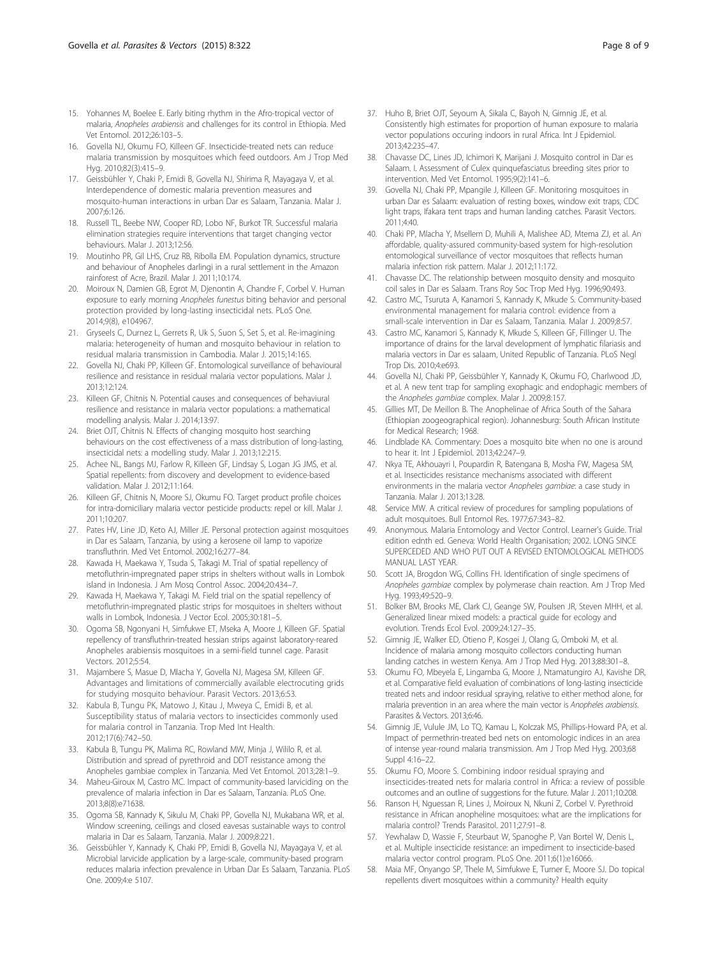- <span id="page-7-0"></span>15. Yohannes M, Boelee E. Early biting rhythm in the Afro-tropical vector of malaria, Anopheles arabiensis and challenges for its control in Ethiopia. Med Vet Entomol. 2012;26:103–5.
- 16. Govella NJ, Okumu FO, Killeen GF. Insecticide-treated nets can reduce malaria transmission by mosquitoes which feed outdoors. Am J Trop Med Hyg. 2010;82(3):415–9.
- 17. Geissbühler Y, Chaki P, Emidi B, Govella NJ, Shirima R, Mayagaya V, et al. Interdependence of domestic malaria prevention measures and mosquito-human interactions in urban Dar es Salaam, Tanzania. Malar J. 2007;6:126.
- 18. Russell TL, Beebe NW, Cooper RD, Lobo NF, Burkot TR. Successful malaria elimination strategies require interventions that target changing vector behaviours. Malar J. 2013;12:56.
- 19. Moutinho PR, Gil LHS, Cruz RB, Ribolla EM. Population dynamics, structure and behaviour of Anopheles darlingi in a rural settlement in the Amazon rainforest of Acre, Brazil. Malar J. 2011;10:174.
- 20. Moiroux N, Damien GB, Egrot M, Djenontin A, Chandre F, Corbel V. Human exposure to early morning Anopheles funestus biting behavior and personal protection provided by long-lasting insecticidal nets. PLoS One. 2014;9(8), e104967.
- 21. Gryseels C, Durnez L, Gerrets R, Uk S, Suon S, Set S, et al. Re-imagining malaria: heterogeneity of human and mosquito behaviour in relation to residual malaria transmission in Cambodia. Malar J. 2015;14:165.
- 22. Govella NJ, Chaki PP, Killeen GF. Entomological surveillance of behavioural resilience and resistance in residual malaria vector populations. Malar J. 2013;12:124.
- 23. Killeen GF, Chitnis N. Potential causes and consequences of behaviural resilience and resistance in malaria vector populations: a mathematical modelling analysis. Malar J. 2014;13:97.
- 24. Briet OJT, Chitnis N. Effects of changing mosquito host searching behaviours on the cost effectiveness of a mass distribution of long-lasting, insecticidal nets: a modelling study. Malar J. 2013;12:215.
- 25. Achee NL, Bangs MJ, Farlow R, Killeen GF, Lindsay S, Logan JG JMS, et al. Spatial repellents: from discovery and development to evidence-based validation. Malar J. 2012;11:164.
- 26. Killeen GF, Chitnis N, Moore SJ, Okumu FO. Target product profile choices for intra-domiciliary malaria vector pesticide products: repel or kill. Malar J. 2011;10:207.
- 27. Pates HV, Line JD, Keto AJ, Miller JE. Personal protection against mosquitoes in Dar es Salaam, Tanzania, by using a kerosene oil lamp to vaporize transfluthrin. Med Vet Entomol. 2002;16:277–84.
- 28. Kawada H, Maekawa Y, Tsuda S, Takagi M. Trial of spatial repellency of metofluthrin-impregnated paper strips in shelters without walls in Lombok island in Indonesia. J Am Mosq Control Assoc. 2004;20:434–7.
- 29. Kawada H, Maekawa Y, Takagi M. Field trial on the spatial repellency of metofluthrin-impregnated plastic strips for mosquitoes in shelters without walls in Lombok, Indonesia. J Vector Ecol. 2005;30:181–5.
- 30. Ogoma SB, Ngonyani H, Simfukwe ET, Mseka A, Moore J, Killeen GF. Spatial repellency of transfluthrin-treated hessian strips against laboratory-reared Anopheles arabiensis mosquitoes in a semi-field tunnel cage. Parasit Vectors. 2012;5:54.
- 31. Majambere S, Masue D, Mlacha Y, Govella NJ, Magesa SM, Killeen GF. Advantages and limitations of commercially available electrocuting grids for studying mosquito behaviour. Parasit Vectors. 2013;6:53.
- 32. Kabula B, Tungu PK, Matowo J, Kitau J, Mweya C, Emidi B, et al. Susceptibility status of malaria vectors to insecticides commonly used for malaria control in Tanzania. Trop Med Int Health. 2012;17(6):742–50.
- 33. Kabula B, Tungu PK, Malima RC, Rowland MW, Minja J, Wililo R, et al. Distribution and spread of pyrethroid and DDT resistance among the Anopheles gambiae complex in Tanzania. Med Vet Entomol. 2013;28:1–9.
- 34. Maheu-Giroux M, Castro MC. Impact of community-based larviciding on the prevalence of malaria infection in Dar es Salaam, Tanzania. PLoS One. 2013;8(8):e71638.
- 35. Ogoma SB, Kannady K, Sikulu M, Chaki PP, Govella NJ, Mukabana WR, et al. Window screening, ceilings and closed eavesas sustainable ways to control malaria in Dar es Salaam, Tanzania. Malar J. 2009;8:221.
- 36. Geissbühler Y, Kannady K, Chaki PP, Emidi B, Govella NJ, Mayagaya V, et al. Microbial larvicide application by a large-scale, community-based program reduces malaria infection prevalence in Urban Dar Es Salaam, Tanzania. PLoS One. 2009;4:e 5107.
- 37. Huho B, Briet OJT, Seyoum A, Sikala C, Bayoh N, Gimnig JE, et al. Consistently high estimates for proportion of human exposure to malaria vector populations occuring indoors in rural Africa. Int J Epidemiol. 2013;42:235–47.
- 38. Chavasse DC, Lines JD, Ichimori K, Marijani J. Mosquito control in Dar es Salaam. I. Assessment of Culex quinquefasciatus breeding sites prior to intervention. Med Vet Entomol. 1995;9(2):141–6.
- 39. Govella NJ, Chaki PP, Mpangile J, Killeen GF. Monitoring mosquitoes in urban Dar es Salaam: evaluation of resting boxes, window exit traps, CDC light traps, Ifakara tent traps and human landing catches. Parasit Vectors. 2011;4:40.
- 40. Chaki PP, Mlacha Y, Msellem D, Muhili A, Malishee AD, Mtema ZJ, et al. An affordable, quality-assured community-based system for high-resolution entomological surveillance of vector mosquitoes that reflects human malaria infection risk pattern. Malar J. 2012;11:172.
- 41. Chavasse DC. The relationship between mosquito density and mosquito coil sales in Dar es Salaam. Trans Roy Soc Trop Med Hyg. 1996;90:493.
- 42. Castro MC, Tsuruta A, Kanamori S, Kannady K, Mkude S. Community-based environmental management for malaria control: evidence from a small-scale intervention in Dar es Salaam, Tanzania. Malar J. 2009;8:57.
- 43. Castro MC, Kanamori S, Kannady K, Mkude S, Killeen GF, Fillinger U. The importance of drains for the larval development of lymphatic filariasis and malaria vectors in Dar es salaam, United Republic of Tanzania. PLoS Negl Trop Dis. 2010;4:e693.
- 44. Govella NJ, Chaki PP, Geissbühler Y, Kannady K, Okumu FO, Charlwood JD, et al. A new tent trap for sampling exophagic and endophagic members of the Anopheles gambiae complex. Malar J. 2009;8:157.
- 45. Gillies MT, De Meillon B. The Anophelinae of Africa South of the Sahara (Ethiopian zoogeographical region). Johannesburg: South African Institute for Medical Research; 1968.
- 46. Lindblade KA. Commentary: Does a mosquito bite when no one is around to hear it. Int J Epidemiol. 2013;42:247–9.
- 47. Nkya TE, Akhouayri I, Poupardin R, Batengana B, Mosha FW, Magesa SM, et al. Insecticides resistance mechanisms associated with different environments in the malaria vector Anopheles gambiae: a case study in Tanzania. Malar J. 2013;13:28.
- 48. Service MW. A critical review of procedures for sampling populations of adult mosquitoes. Bull Entomol Res. 1977;67:343–82.
- 49. Anonymous. Malaria Entomology and Vector Control. Learner's Guide. Trial edition ednth ed. Geneva: World Health Organisation; 2002. LONG SINCE SUPERCEDED AND WHO PUT OUT A REVISED ENTOMOLOGICAL METHODS MANUAL LAST YEAR.
- 50. Scott JA, Brogdon WG, Collins FH. Identification of single specimens of Anopheles gambiae complex by polymerase chain reaction. Am J Trop Med Hyg. 1993;49:520–9.
- 51. Bolker BM, Brooks ME, Clark CJ, Geange SW, Poulsen JR, Steven MHH, et al. Generalized linear mixed models: a practical guide for ecology and evolution. Trends Ecol Evol. 2009;24:127–35.
- 52. Gimnig JE, Walker ED, Otieno P, Kosgei J, Olang G, Omboki M, et al. Incidence of malaria among mosquito collectors conducting human landing catches in western Kenya. Am J Trop Med Hyg. 2013;88:301–8.
- 53. Okumu FO, Mbeyela E, Lingamba G, Moore J, Ntamatungiro AJ, Kavishe DR, et al. Comparative field evaluation of combinations of long-lasting insecticide treated nets and indoor residual spraying, relative to either method alone, for malaria prevention in an area where the main vector is Anopheles arabiensis. Parasites & Vectors. 2013;6:46.
- 54. Gimnig JE, Vulule JM, Lo TQ, Kamau L, Kolczak MS, Phillips-Howard PA, et al. Impact of permethrin-treated bed nets on entomologic indices in an area of intense year-round malaria transmission. Am J Trop Med Hyg. 2003;68 Suppl 4:16–22.
- 55. Okumu FO, Moore S. Combining indoor residual spraying and insecticides-treated nets for malaria control in Africa: a review of possible outcomes and an outline of suggestions for the future. Malar J. 2011;10:208.
- 56. Ranson H, Nguessan R, Lines J, Moiroux N, Nkuni Z, Corbel V. Pyrethroid resistance in African anopheline mosquitoes: what are the implications for malaria control? Trends Parasitol. 2011;27:91–8.
- 57. Yewhalaw D, Wassie F, Steurbaut W, Spanoghe P, Van Bortel W, Denis L, et al. Multiple insecticide resistance: an impediment to insecticide-based malaria vector control program. PLoS One. 2011;6(1):e16066.
- 58. Maia MF, Onyango SP, Thele M, Simfukwe E, Turner E, Moore SJ. Do topical repellents divert mosquitoes within a community? Health equity